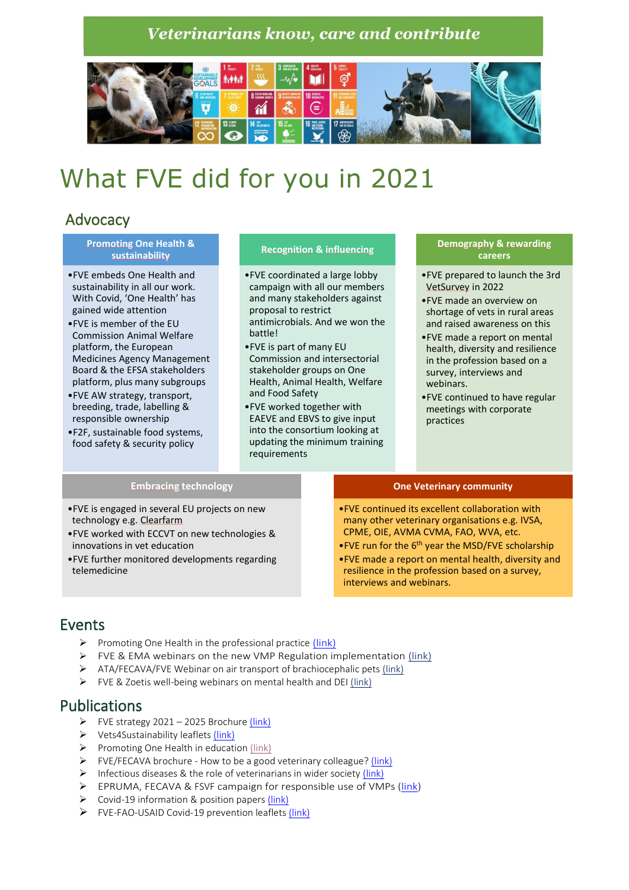## **Veterinarians know, care and contribute**



# What FVE did for you in 2021

## Advocacy

#### **Promoting One Health & sustainability**

- •FVE embeds One Health and sustainability in all our work. With Covid, 'One Health' has gained wide attention
- •FVE is member of the EU Commission Animal Welfare platform, the European Medicines Agency Management Board & the EFSA stakeholders platform, plus many subgroups
- •FVE AW strategy, transport, breeding, trade, labelling & responsible ownership
- •F2F, sustainable food systems, food safety & security policy

#### **Recognition & influencing**

- •FVE coordinated a large lobby campaign with all our members and many stakeholders against proposal to restrict antimicrobials. And we won the **battle!**
- •FVE is part of many EU Commission and intersectorial stakeholder groups on One Health, Animal Health, Welfare and Food Safety
- •FVE worked together with EAEVE and EBVS to give input into the consortium looking at updating the minimum training requirements

#### **Demography & rewarding careers**

- •FVE prepared to launch the 3rd VetSurvey in 2022
- •FVE made an overview on shortage of vets in rural areas and raised awareness on this
- •FVE made a report on mental health, diversity and resilience in the profession based on a survey, interviews and webinars.
- •FVE continued to have regular meetings with corporate practices

#### **Embracing technology**

- •FVE is engaged in several EU projects on new technology e.g. Clearfarm
- •FVE worked with ECCVT on new technologies & innovations in vet education
- •FVE further monitored developments regarding telemedicine

#### **One Veterinary community**

- •FVE continued its excellent collaboration with many other veterinary organisations e.g. IVSA, CPME, OIE, AVMA CVMA, FAO, WVA, etc.
- •FVE run for the  $6<sup>th</sup>$  year the MSD/FVE scholarship
- •FVE made a report on mental health, diversity and resilience in the profession based on a survey, interviews and webinars.

### Events

- $\triangleright$  Promoting One Health in the professional practice [\(link\)](https://fve.org/promoting-one-health-in-the-professional-practice/)
- ➢ [FVE & EMA webinars on the new VMP Regulation implementation](https://fve.org/3rd-ema-fve-joint-webinar-limited-places-register-now/) [\(link\)](https://fve.org/3rd-ema-fve-joint-webinar-limited-places-register-now/)
- ➢ [ATA/FECAVA/FVE Webinar on air transport of brachiocephalic pets](https://fve.org/air-transport-of-brachycephalic-pets/) [\(link\)](https://fve.org/air-transport-of-brachycephalic-pets/)
- ➢ [FVE & Zoetis well-being webinars](https://fve.org/fve-zoetis-well-being-webinars/) on mental health and DEI [\(link\)](https://fve.org/fve-zoetis-well-being-webinars/)

### Publications

- $\triangleright$  [FVE strategy 2021](https://fve.org/publications/fve-strategy-2021-2025-2/)  2025 Brochure (link)
- ➢ Vets4Sustainability leaflets [\(link\)](https://fve.org/publications/veterinarians-commit-to-sustainable-food-systems/)
- ➢ [Promoting One Health in education](https://fve.org/publications/promoting-one-health-interdisciplinary-education-by-medicalveterinary-and-other-education-establishments-in-europe/) [\(link\)](https://fve.org/publications/promoting-one-health-interdisciplinary-education-by-medicalveterinary-and-other-education-establishments-in-europe/)
- ➢ FVE/FECAVA brochure [How to be a good veterinary colleague?](https://fve.org/publications/how-to-be-a-good-veterinary-colleague/) [\(link\)](https://fve.org/publications/how-to-be-a-good-veterinary-colleague/)
- ➢ Infectious diseases [& the role of veterinarians in wider society](https://fve.org/publications/infectious-diseases-the-role-of-veterinarians-in-wider-society/) [\(link\)](https://fve.org/publications/infectious-diseases-the-role-of-veterinarians-in-wider-society/)
- ➢ EPRUMA, FECAVA & FSVF campaign for responsible use of VMPs [\(link\)](https://fve.org/publications/fve-congratulates-the-european-parliament-for-taking-a-one-health-approach-and-voting-for-science-based-regulation-in-europe/)
- ➢ Covid-19 information & position papers [\(link\)](https://fve.org/publications/veterinarians-continue-to-look-after-animals-and-public-health-during-the-pandemic-they-also-need-protection/)
- $\triangleright$  FVE-FAO-USAID [Covid-19 prevention](https://fve.org/update-covid-19-the-veterinary-profession/) leaflets [\(link\)](https://fve.org/update-covid-19-the-veterinary-profession/)